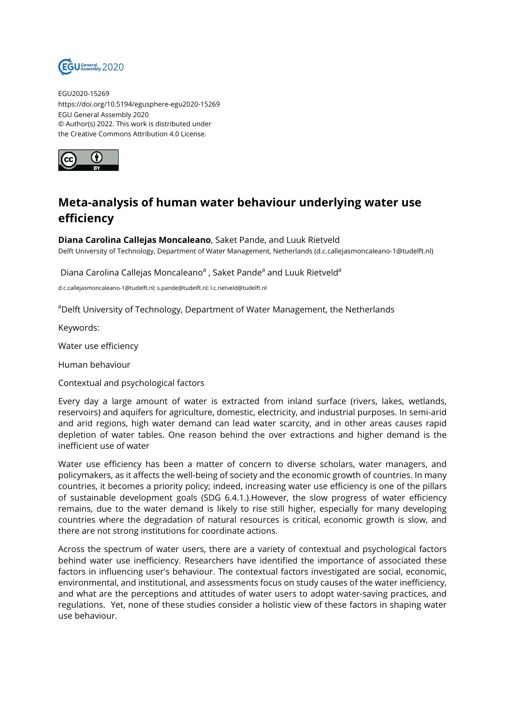

EGU2020-15269 https://doi.org/10.5194/egusphere-egu2020-15269 EGU General Assembly 2020 © Author(s) 2022. This work is distributed under the Creative Commons Attribution 4.0 License.



## **Meta-analysis of human water behaviour underlying water use efficiency**

**Diana Carolina Callejas Moncaleano**, Saket Pande, and Luuk Rietveld Delft University of Technology, Department of Water Management, Netherlands (d.c.callejasmoncaleano-1@tudelft.nl)

Diana Carolina Callejas Moncaleano<sup>a</sup> , Saket Pande<sup>a</sup> and Luuk Rietveld<sup>a</sup>

d.c.callejasmoncaleano-1@tudelft.nl; s.pande@tudelft.nl; l.c.rietveld@tudelft.nl

<sup>a</sup>Delft University of Technology, Department of Water Management, the Netherlands

Keywords:

Water use efficiency

Human behaviour

Contextual and psychological factors

Every day a large amount of water is extracted from inland surface (rivers, lakes, wetlands, reservoirs) and aquifers for agriculture, domestic, electricity, and industrial purposes. In semi-arid and arid regions, high water demand can lead water scarcity, and in other areas causes rapid depletion of water tables. One reason behind the over extractions and higher demand is the inefficient use of water

Water use efficiency has been a matter of concern to diverse scholars, water managers, and policymakers, as it affects the well-being of society and the economic growth of countries. In many countries, it becomes a priority policy; indeed, increasing water use efficiency is one of the pillars of sustainable development goals (SDG 6.4.1.).However, the slow progress of water efficiency remains, due to the water demand is likely to rise still higher, especially for many developing countries where the degradation of natural resources is critical, economic growth is slow, and there are not strong institutions for coordinate actions.

Across the spectrum of water users, there are a variety of contextual and psychological factors behind water use inefficiency. Researchers have identified the importance of associated these factors in influencing user's behaviour. The contextual factors investigated are social, economic, environmental, and institutional, and assessments focus on study causes of the water inefficiency, and what are the perceptions and attitudes of water users to adopt water-saving practices, and regulations. Yet, none of these studies consider a holistic view of these factors in shaping water use behaviour.